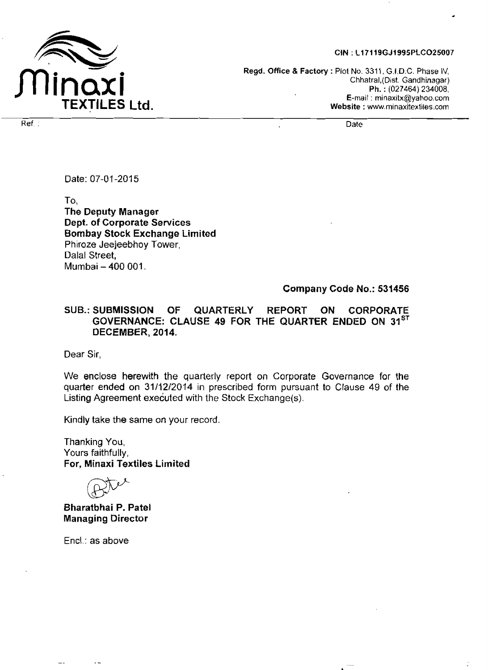

#### CIN: L17119GJ1995PLCO25007

**Regd. Office** & **Factory** : Plot No. **331** 1, G.I.D.C. Phase IV, Chhatral,(Dist. Gandhinagar) Ph. : (027464) 234008, E-mail : minaxitx@yahoo.com **Website** : www.minaxitextiles.com

Ref . Date . Date . Date . Date . Date . Date . Date . Date . Date . Date . Date . Date . Date . Date . Date .

Date: 07-01-2015

To **<sup>1</sup> The Deputy Manager Dept. of Corporate Services Bombay Stock Exchange Limited**  Phiroze Jeejeebhoy Tower, Dalal **Street,**  Mumbai - **400** 001.

#### **Company Code No.: 531456**

### **SUB.: SUBMISSION OF QUARTERLY REPORT ON CORPORATE GOVERNANCE: CLAUSE 49 FOR THE QUARTER ENDED ON 31ST DECEMBER, 2014.**

Dear Sir,

**We** enclose herewith the quarterly report on Corporate Governance for **the**  quarter **ended** on **31112/2014** in prescribed form pursuant to Clause 49 of the Listing Agreement executed with the Stock Exchange(s).

**Kindly** take the same on your record.

Thanking You, Yours faithfully, **For, Minaxi Textiles Limited** 

**Bharatbhai P. Patel Managing Director** 

Encl.: **as** above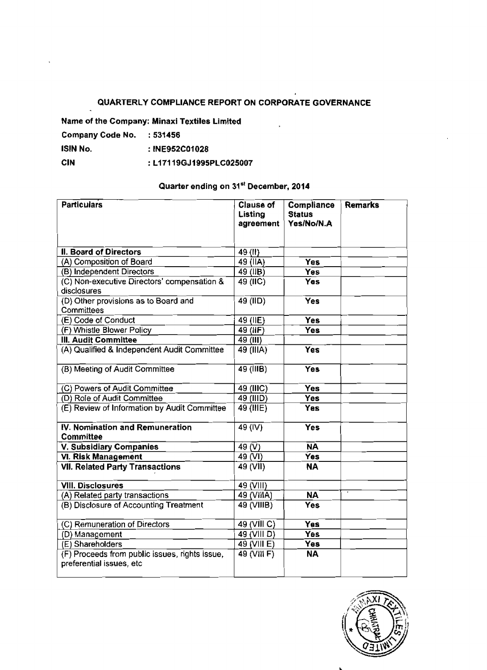## **QUARTERLY COMPLIANCE REPORT ON CORPORATE GOVERNANCE**

J.

**Name of** the Company: Minaxi Textiles Limited

| Company Code No. | :531456        |
|------------------|----------------|
| ISIN No.         | : INE952C01028 |

**CIN** : **Ll 71 19G J 1995PLC025007** 

# **Quarter ending on 31"' December, 2014**

| <b>Particulars</b>                                                         | <b>Clause of</b><br>Listing<br>agreement | Compliance<br><b>Status</b><br>Yes/No/N.A | <b>Remarks</b> |
|----------------------------------------------------------------------------|------------------------------------------|-------------------------------------------|----------------|
| <b>II. Board of Directors</b>                                              | 49(II)                                   |                                           |                |
| (A) Composition of Board                                                   | 49 $(IIA)$                               | <b>Yes</b>                                |                |
| (B) Independent Directors                                                  | $49$ (IIB)                               | <b>Yes</b>                                |                |
| (C) Non-executive Directors' compensation &<br>disclosures                 | 49 (IIC)                                 | <b>Yes</b>                                |                |
| (D) Other provisions as to Board and<br>Committees                         | $\overline{49}$ (IID)                    | <b>Yes</b>                                |                |
| (E) Code of Conduct                                                        | 49 (IIE)                                 | <b>Yes</b>                                |                |
| (F) Whistle Blower Policy                                                  | 49 (IF)                                  | <b>Yes</b>                                |                |
| <b>III. Audit Committee</b>                                                | 49 (III)                                 |                                           |                |
| (A) Qualified & Independent Audit Committee                                | 49 (IIIA)                                | <b>Yes</b>                                |                |
| (B) Meeting of Audit Committee                                             | $\overline{49}$ (IIIB)                   | <b>Yes</b>                                |                |
| (C) Powers of Audit Committee                                              | 49 (IIIC)                                | <b>Yes</b>                                |                |
| (D) Role of Audit Committee                                                | 49 (IIID)                                | <b>Yes</b>                                |                |
| (E) Review of Information by Audit Committee                               | 49 (IIIE)                                | <b>Yes</b>                                |                |
| IV. Nomination and Remuneration<br>Committee                               | 49 (IV)                                  | <b>Yes</b>                                |                |
| V. Subsidiary Companies                                                    | 49 $(\overline{V})$                      | $\overline{NA}$                           |                |
| <b>VI. Risk Management</b>                                                 | 49 (VI)                                  | <b>Yes</b>                                |                |
| <b>VII. Related Party Transactions</b>                                     | 49 (VII)                                 | <b>NA</b>                                 |                |
| <b>VIII. Disclosures</b>                                                   | 49 (VIII)                                |                                           |                |
| (A) Related party transactions                                             | 49 (VIIIA)                               | NΑ                                        |                |
| (B) Disclosure of Accounting Treatment                                     | 49 (VIIIB)                               | <b>Yes</b>                                |                |
| (C) Remuneration of Directors                                              | 49 (VIII C)                              | Yes                                       |                |
| (D) Management                                                             | 49 (VIII D)                              | Yes                                       |                |
| (E) Shareholders                                                           | 49 (VIII E)                              | Yes                                       |                |
| (F) Proceeds from public issues, rights issue,<br>preferential issues, etc | 49 (VIII F)                              | <b>NA</b>                                 |                |